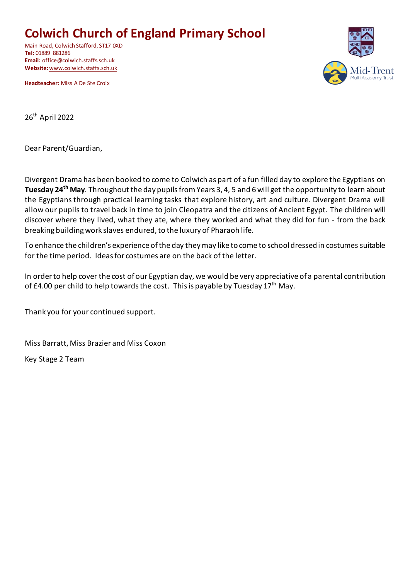# **Colwich Church of England Primary School**

Main Road, Colwich Stafford, ST17 0XD **Tel:** 01889 881286 **Email:** office@colwich.staffs.sch.uk **Website:** [www.colwich.staffs.sch.uk](http://www.colwich.staffs.sch.uk/)

**Headteacher:** Miss A De Ste Croix



26th April 2022

Dear Parent/Guardian,

Divergent Drama has been booked to come to Colwich as part of a fun filled day to explore the Egyptians on **Tuesday 24th May**. Throughout the day pupils from Years 3, 4, 5 and 6 will get the opportunity to learn about the Egyptians through practical learning tasks that explore history, art and culture. Divergent Drama will allow our pupils to travel back in time to join Cleopatra and the citizens of Ancient Egypt. The children will discover where they lived, what they ate, where they worked and what they did for fun - from the back breaking building work slaves endured, to the luxury of Pharaoh life.

To enhance the children's experience of the day they may like to come to school dressed in costumes suitable for the time period. Ideas for costumes are on the back of the letter.

In order to help cover the cost of our Egyptian day, we would be very appreciative of a parental contribution of £4.00 per child to help towards the cost. This is payable by Tuesday  $17<sup>th</sup>$  May.

Thank you for your continued support.

Miss Barratt, Miss Brazier and Miss Coxon

Key Stage 2 Team